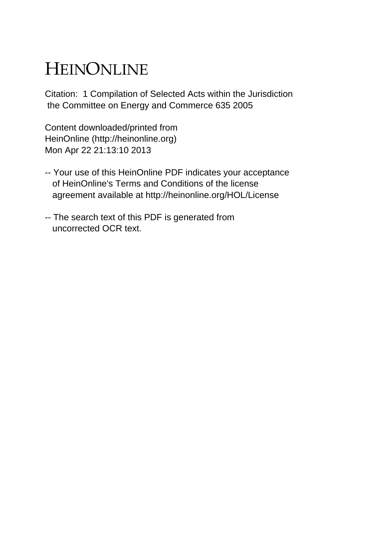# HEINONLINE

Citation: 1 Compilation of Selected Acts within the Jurisdiction the Committee on Energy and Commerce 635 2005

Content downloaded/printed from HeinOnline (http://heinonline.org) Mon Apr 22 21:13:10 2013

- -- Your use of this HeinOnline PDF indicates your acceptance of HeinOnline's Terms and Conditions of the license agreement available at http://heinonline.org/HOL/License
- -- The search text of this PDF is generated from uncorrected OCR text.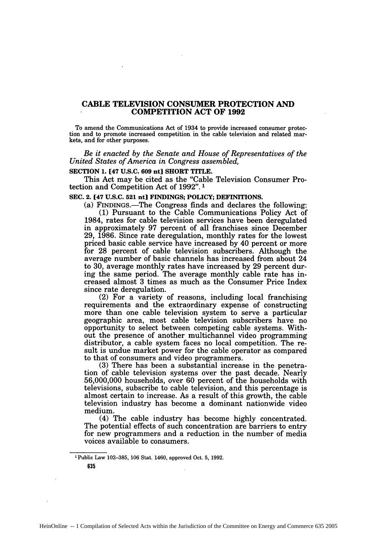### **CABLE TELEVISION CONSUMER PROTECTION AND COMPETITION ACT OF 1992**

To amend the Communications Act of 1934 to provide increased consumer protection and to promote increased competition in the cable television and related markets, and for other purposes.

*Be it enacted by the Senate and House of Representatives of the United States of America in Congress assembled,*

### **SECTION 1. [47 U.S.C. 609 nt] SHORT** TITLE.

This Act may be cited as the "Cable Television Consumer Protection and Competition Act of 1992". 1

### **SEC.** 2. [47 **U.S.C. 521 nt] FINDINGS; POLICY; DEFINITIONS.**

(a) FINDINGS.-The Congress finds and declares the following: (1) Pursuant to the Cable Communications Policy Act of

1984, rates for cable television services have been deregulated in approximately 97 percent of all franchises since December 29, 1986. Since rate deregulation, monthly rates for the lowest priced basic cable service have increased by 40 percent or more for 28 percent of cable television subscribers. Although the average number of basic channels has increased from about 24 to 30, average monthly rates have increased by 29 percent during the same period. The average monthly cable rate has increased almost 3 times as much as the Consumer Price Index since rate deregulation.<br>(2) For a variety of reasons, including local franchising

requirements and the extraordinary expense of constructing more than one cable television system to serve a particular geographic area, most cable television subscribers have no opportunity to select between competing cable systems. Without the presence of another multichannel video programming distributor, a cable system faces no local competition. The result is undue market power for the cable operator as compared to that of consumers and video programmers.

(3) There has been a substantial increase in the penetration of cable television systems over the past decade. Nearly 56,000,000 households, over 60 percent of the households with televisions, subscribe to cable television, and this percentage is almost certain to increase. As a result of this growth, the cable television industry has become a dominant nationwide video medium.

(4) The cable industry has become highly concentrated. The potential effects of such concentration are barriers to entry for new programmers and a reduction in the number of media voices available to consumers.

**1** Public Law 102-385, 106 Stat. 1460, approved Oct. 5, 1992.

635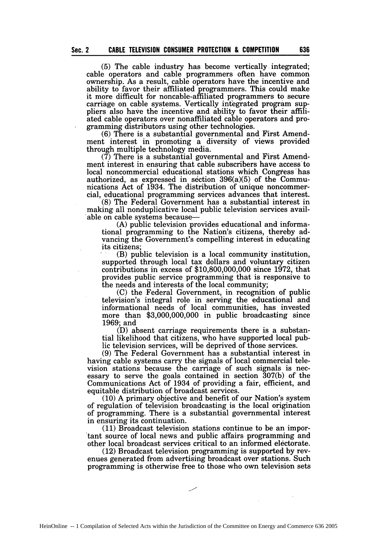(5) The cable industry has become vertically integrated; cable operators and cable programmers often have common ownership. As a result, cable operators have the incentive and ability to favor their affiliated programmers. This could make it more difficult for noncable-affiliated programmers to secure carriage on cable systems. Vertically integrated program suppliers also have the incentive and ability to favor their affiliated cable operators over nonaffiliated cable operators and programming distributors using other technologies.

(6) There is a substantial governmental and First Amendment interest in promoting a diversity of views provided through multiple technology media.

 $(7)$  There is a substantial governmental and First Amendment interest in ensuring that cable subscribers have access to local noncommercial educational stations which Congress has authorized, as expressed in section  $396(a)(5)$  of the Communications Act of 1934. The distribution of unique noncommercial, educational programming services advances that interest.

(8) The Federal Government has a substantial interest in making all nonduplicative local public television services available on cable systems because-

(A) public television provides educational and informational programming to the Nation's citizens, thereby advancing the Government's compelling interest in educating its citizens;

(B) public television is a local community institution, supported through local tax dollars and voluntary citizen contributions in excess of \$10,800,000,000 since 1972, that provides public service programming that is responsive to the needs and interests of the local community;

(C) the Federal Government, in recognition of public television's integral role in serving the educational and informational needs of local communities, has invested more than \$3,000,000,000 in public broadcasting since 1969; and

(D) absent carriage requirements there is a substantial likelihood that citizens, who have supported local public television services, will be deprived of those services.

(9) The Federal Government has a substantial interest in having cable systems carry the signals of local commercial television stations because the carriage of such signals is necessary to serve the goals contained in section 307(b) of the Communications Act of 1934 of providing a fair, efficient, and equitable distribution of broadcast services.

(10) A primary objective and benefit of our Nation's system of regulation of television broadcasting is the local origination of programming. There is a substantial governmental interest in ensuring its continuation.

(11) Broadcast television stations continue to be an important source of local news and public affairs programming and other local broadcast services critical to an informed electorate.

(12) Broadcast television programming is supported by revenues generated from advertising broadcast over stations. Such programming is otherwise free to those who own television sets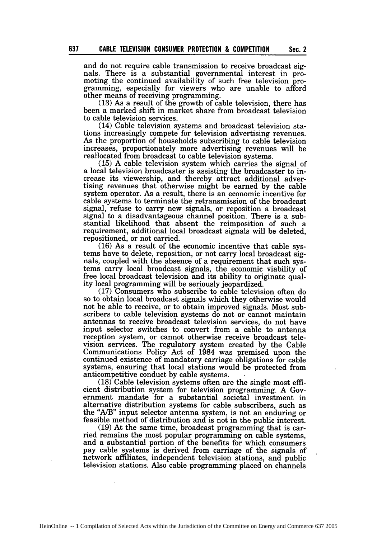and do not require cable transmission to receive broadcast signals. There is a substantial governmental interest in promoting the continued availability of such free television programming, especially for viewers who are unable to afford other means of receiving programming.

**Sec. 2**

(13) As a result of the growth of cable television, there has been a marked shift in market share from broadcast television to cable television services.

(14) Cable television systems and broadcast television stations increasingly compete for television advertising revenues. As the proportion of households subscribing to cable television increases, proportionately more advertising revenues will be reallocated from broadcast to cable television systems.

(15) A cable television system which carries the signal of a local television broadcaster is assisting the broadcaster to increase its viewership, and thereby attract additional advertising revenues that otherwise might be earned by the cable system operator. As a result, there is an economic incentive for cable systems to terminate the retransmission of the broadcast signal, refuse to carry new signals, or reposition a broadcast signal to a disadvantageous channel position. There is a substantial likelihood that absent the reimposition of such a requirement, additional local broadcast signals will be deleted, repositioned, or not carried.

(16) As a result of the economic incentive that cable systems have to delete, reposition, or not carry local broadcast sig- nals, coupled with the absence of a requirement that such systems carry local broadcast signals, the economic viability of free local broadcast television and its ability to originate quality local programming will be seriously jeopardized. (17) Consumers who subscribe to cable television often do

so to obtain local broadcast signals which they otherwise would not be able to receive, or to obtain improved signals. Most subscribers to cable television systems do not or cannot maintain antennas to receive broadcast television services, do not have input selector switches to convert from a cable to antenna reception system, or cannot otherwise receive broadcast television services. The regulatory system created by the Cable Communications Policy Act of 1984 was premised upon the continued existence of mandatory carriage obligations for cable systems, ensuring that local stations would be protected from anticompetitive conduct by cable systems.

(18) Cable television systems often are the single most efficient distribution system for television programming. A Government mandate for a substantial societal investment in alternative distribution systems for cable subscribers, such as the "A/B" input selector antenna system, is not an enduring or feasible method of distribution and is not in the public interest.

(19) At the same time, broadcast programming that is carried remains the most popular programming on cable systems, and a substantial portion of the benefits for which consumers pay cable systems is derived from carriage of the signals of network affiliates, independent television stations, and public television stations. Also cable programming placed on channels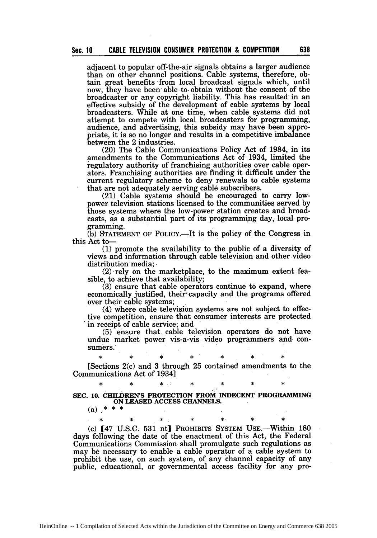adjacent to popular off-the-air signals obtains a larger audience than on other channel positions. Cable systems, therefore, obtain great benefits -from local broadcast signals which, until now, they have been- able to obtain without the consent of the broadcaster or any copyright liability. This has resulted in an effective subsidy of the development of cable systems by local broadcasters. While at one time, when cable systems did not attempt to compete with local broadcasters for programming, audience, and advertising, this subsidy may have been appropriate, it is so no longer and results in a competitive imbalance between the 2 industries.

(20) The Cable Communications Policy Act of 1984, in its amendments to the Communications Act of 1934, limited the regulatory authority of franchising authorities over cable operators. Franchising authorities are finding it difficult under the current regulatory scheme to deny renewals to cable systems that are not adequately serving cable subscribers.

(21) Cable systems should be encouraged to carry lowpower television stations licensed to the communities served by those systems where the low-power station creates and broadcasts, as a substantial part of its programming day, local programming.

(b) **STATEMENT** OF POLICY.-It is the policy of the Congress in this Act to-

**(1)** promote the availability to the public of a diversity of views and information through cable television-and other video distribution media;

(2) rely on the marketplace, to the maximum extent feasible, to achieve that availability;

(3) ensure that cable operators continue to expand, where economically justified, their: capacity and the programs offered over their cable systems;

(4) where cable television systems are not subject to effective competition, ensure that consumer interests are protected in receipt of cable service; and

(5) ensure that. cable television operators do not have undue market power vis-a-vis video programmers and- consumers.

[Sections 2(c) and 3 through 25 contained amendments to the Communications Act of 1934] **\* \* \* : \*** \* **\* \***

**\* \* \* \* \* \* \***

**SEC. 10. CHILDREN'S** PROTECTION **FROM** INDECENT **PROGRAMMING ON LEASED ACCESS CHANNELS.**

\* \* \* \* **\*,** \* \*

 $(a)$  \* \* \*

(c) [47 U.S.C. **531 nt]** PROHIBITS **SYSTEM** USE.-Within 180 days following the date of the enactment of this Act, the Federal Communications Commission shall promulgate such regulations as may be necessary to enable a cable operator of a cable system to prohibit- the use, on such system, of any channel capacity of any public, educational, or governmental access facility for any pro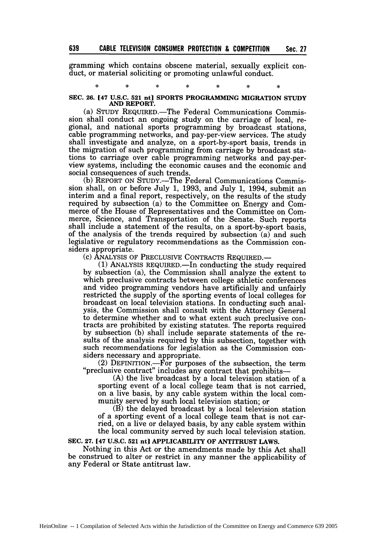gramming which contains obscene material, sexually explicit conduct, or material soliciting or promoting unlawful conduct.

### **SEC. 26. [47 U.S.C. 521 nt] SPORTS PROGRAMMING MIGRATION STUDY AND REPORT.**

(a) STUDY REQUIRED.-The Federal Communications Commission shall conduct an ongoing study on the carriage of local, regional, and national sports programming by broadcast stations, cable programming networks, and pay-per-view services. The study shall investigate and analyze, on a sport-by-sport basis, trends in the migration of such programming from carriage by broadcast stations to carriage over cable programming networks and pay-perview systems, including the economic causes and the economic and social consequences of such trends.

**(b)** REPORT ON STUDY.-The Federal Communications Commission shall, on or before July 1, 1993, and July 1, 1994, submit an interim and a final report, respectively, on the results of the study required by subsection (a) to the Committee on Energy and Commerce of the House of Representatives and the Committee on Commerce, Science, and Transportation of the Senate. Such reports shall include a statement of the results, on a sport-by-sport basis, of the analysis of the trends required by subsection (a) and such legislative or regulatory recommendations as the Commission considers appropriate.

**(c)** ANALYSIS OF PRECLUSIVE CONTRACTS REQUIRED.-

**(1)** ANALYSIS REQUIRED.-In conducting the study required by subsection (a), the Commission shall analyze the extent to which preclusive contracts between college athletic conferences and video programming vendors have artificially and unfairly restricted the supply of the sporting events of local colleges for broadcast on local television stations. In conducting such analysis, the Commission shall consult with the Attorney General to determine whether and to what extent such preclusive contracts are prohibited by existing statutes. The reports required by subsection (b) shall include separate statements of the results of the analysis required by this subsection, together with such recommendations for legislation as the Commission considers necessary and appropriate.

(2) DEFINITION.—For purposes of the subsection, the term "preclusive contract" includes any contract that prohibits—

(A) the live broadcast by a local television station of a sporting event of a local college team that is not carried, on a live basis, by any cable system within the local community served by such local television station; or

(B) the delayed broadcast by a local television station of a sporting event of a local college team that is not carried, on a live or delayed basis, by any cable system within the local community served by such local television station.

### **SEC. 27. [47 U.S.C. 521 nt] APPLICABILITY OF ANTITRUST LAWS.**

Nothing in this Act or the amendments made by this Act shall be construed to alter or restrict in any manner the applicability of any Federal or State antitrust law.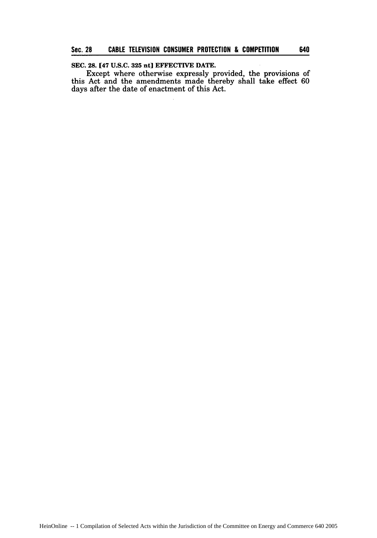### **SEC. 28. [47 U.S.C. 325 nt] EFFECTIVE DATE.**

Except where otherwise expressly provided, the provisions of this Act and the amendments made thereby shall take effect **60** days after the date of enactment of this Act.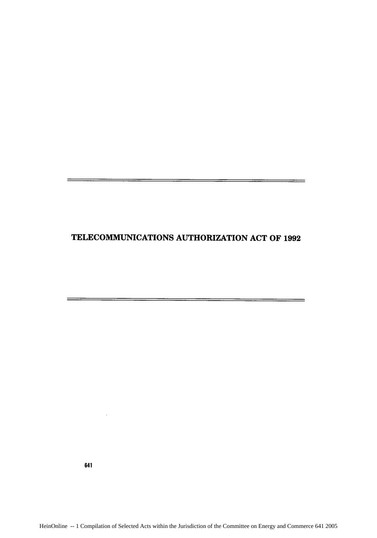## TELECOMMUNICATIONS AUTHORIZATION **ACT** OF **1992**

641